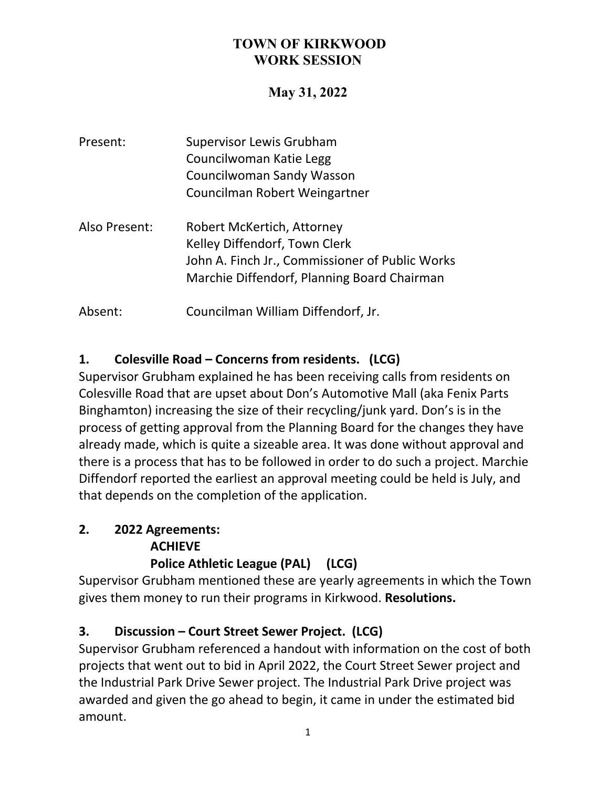### **TOWN OF KIRKWOOD WORK SESSION**

## **May 31, 2022**

| Present:      | <b>Supervisor Lewis Grubham</b><br>Councilwoman Katie Legg<br><b>Councilwoman Sandy Wasson</b><br>Councilman Robert Weingartner                               |
|---------------|---------------------------------------------------------------------------------------------------------------------------------------------------------------|
| Also Present: | Robert McKertich, Attorney<br>Kelley Diffendorf, Town Clerk<br>John A. Finch Jr., Commissioner of Public Works<br>Marchie Diffendorf, Planning Board Chairman |
| Absent:       | Councilman William Diffendorf, Jr.                                                                                                                            |

## **1. Colesville Road – Concerns from residents. (LCG)**

Supervisor Grubham explained he has been receiving calls from residents on Colesville Road that are upset about Don's Automotive Mall (aka Fenix Parts Binghamton) increasing the size of their recycling/junk yard. Don's is in the process of getting approval from the Planning Board for the changes they have already made, which is quite a sizeable area. It was done without approval and there is a process that has to be followed in order to do such a project. Marchie Diffendorf reported the earliest an approval meeting could be held is July, and that depends on the completion of the application.

# **2. 2022 Agreements: ACHIEVE**

### **Police Athletic League (PAL) (LCG)**

Supervisor Grubham mentioned these are yearly agreements in which the Town gives them money to run their programs in Kirkwood. **Resolutions.**

### **3. Discussion – Court Street Sewer Project. (LCG)**

Supervisor Grubham referenced a handout with information on the cost of both projects that went out to bid in April 2022, the Court Street Sewer project and the Industrial Park Drive Sewer project. The Industrial Park Drive project was awarded and given the go ahead to begin, it came in under the estimated bid amount.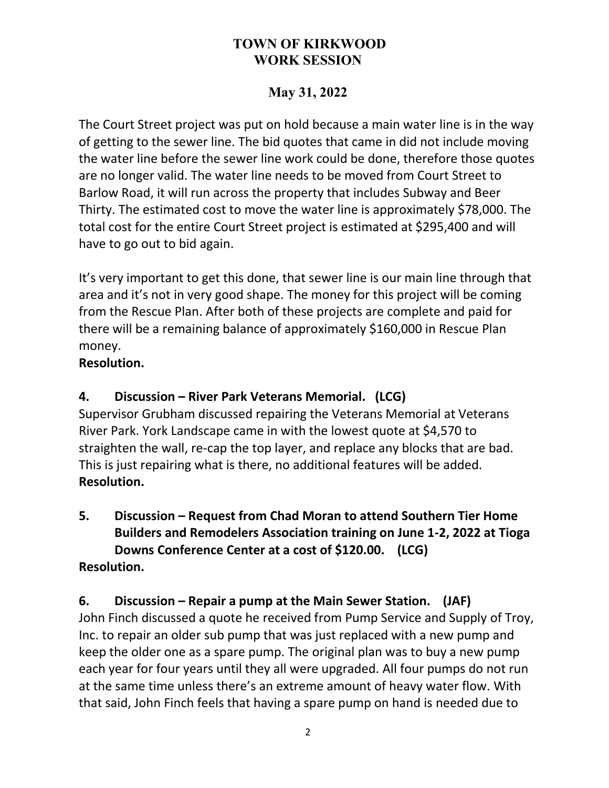### **TOWN OF KIRKWOOD WORK SESSION**

# **May 31, 2022**

The Court Street project was put on hold because a main water line is in the way of getting to the sewer line. The bid quotes that came in did not include moving the water line before the sewer line work could be done, therefore those quotes are no longer valid. The water line needs to be moved from Court Street to Barlow Road, it will run across the property that includes Subway and Beer Thirty. The estimated cost to move the water line is approximately \$78,000. The total cost for the entire Court Street project is estimated at \$295,400 and will have to go out to bid again.

It's very important to get this done, that sewer line is our main line through that area and it's not in very good shape. The money for this project will be coming from the Rescue Plan. After both of these projects are complete and paid for there will be a remaining balance of approximately \$160,000 in Rescue Plan money.

#### **Resolution.**

#### **4. Discussion – River Park Veterans Memorial. (LCG)**

Supervisor Grubham discussed repairing the Veterans Memorial at Veterans River Park. York Landscape came in with the lowest quote at \$4,570 to straighten the wall, re-cap the top layer, and replace any blocks that are bad. This is just repairing what is there, no additional features will be added. **Resolution.**

**5. Discussion – Request from Chad Moran to attend Southern Tier Home Builders and Remodelers Association training on June 1-2, 2022 at Tioga Downs Conference Center at a cost of \$120.00. (LCG) Resolution.**

### **6. Discussion – Repair a pump at the Main Sewer Station. (JAF)**

John Finch discussed a quote he received from Pump Service and Supply of Troy, Inc. to repair an older sub pump that was just replaced with a new pump and keep the older one as a spare pump. The original plan was to buy a new pump each year for four years until they all were upgraded. All four pumps do not run at the same time unless there's an extreme amount of heavy water flow. With that said, John Finch feels that having a spare pump on hand is needed due to